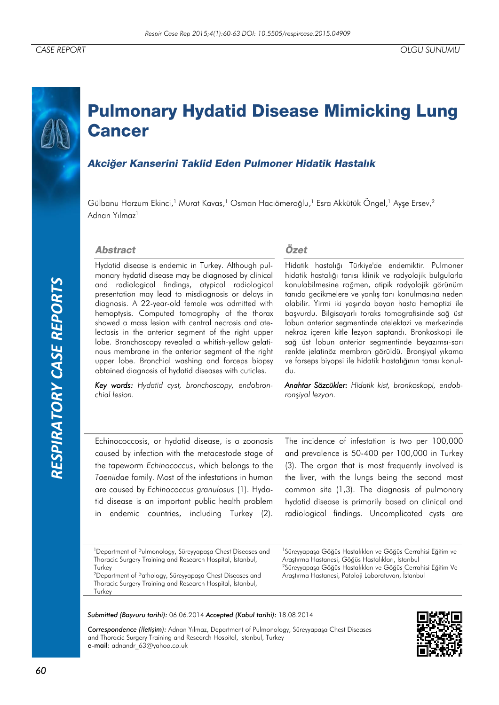# **Pulmonary Hydatid Disease Mimicking Lung Cancer**

# Akciğer Kanserini Taklid Eden Pulmoner Hidatik Hastalık

Gülbanu Horzum Ekinci, <sup>1</sup> Murat Kavas, <sup>1</sup> Osman Hacıömeroğlu, <sup>1</sup> Esra Akkütük Öngel, <sup>1</sup> Ayşe Ersev, 2 Adnan Yılmaz<sup>1</sup>

### **Abstract**

Hydatid disease is endemic in Turkey. Although pulmonary hydatid disease may be diagnosed by clinical and radiological findings, atypical radiological presentation may lead to misdiagnosis or delays in diagnosis. A 22-year-old female was admitted with hemoptysis. Computed tomography of the thorax showed a mass lesion with central necrosis and atelectasis in the anterior segment of the right upper lobe. Bronchoscopy revealed a whitish-yellow gelatinous membrane in the anterior segment of the right upper lobe. Bronchial washing and forceps biopsy obtained diagnosis of hydatid diseases with cuticles.

*Key words: Hydatid cyst, bronchoscopy, endobronchial lesion.*

### Özet

Hidatik hastalığı Türkiye'de endemiktir. Pulmoner hidatik hastalığı tanısı klinik ve radyolojik bulgularla konulabilmesine rağmen, atipik radyolojik görünüm tanıda gecikmelere ve yanlış tanı konulmasına neden olabilir. Yirmi iki yaşında bayan hasta hemoptizi ile başvurdu. Bilgisayarlı toraks tomografisinde sağ üst lobun anterior segmentinde atelektazi ve merkezinde nekroz içeren kitle lezyon saptandı. Bronkoskopi ile sağ üst lobun anterior segmentinde beyazımsı-sarı renkte jelatinöz membran görüldü. Bronşiyal yıkama ve forseps biyopsi ile hidatik hastalığının tanısı konuldu.

*Anahtar Sözcükler: Hidatik kist, bronkoskopi, endobronşiyal lezyon.*

Echinococcosis, or hydatid disease, is a zoonosis caused by infection with the metacestode stage of the tapeworm *Echinococcus*, which belongs to the *Taeniidae* family. Most of the infestations in human are caused by *Echinococcus granulosus* (1). Hydatid disease is an important public health problem in endemic countries, including Turkey (2).

The incidence of infestation is two per 100,000 and prevalence is 50-400 per 100,000 in Turkey (3). The organ that is most frequently involved is the liver, with the lungs being the second most common site (1,3). The diagnosis of pulmonary hydatid disease is primarily based on clinical and radiological findings. Uncomplicated cysts are

<sup>1</sup>Department of Pulmonology, Süreyyapaşa Chest Diseases and Thoracic Surgery Training and Research Hospital, İstanbul, **Turkey** 

<sup>2</sup>Department of Pathology, Süreyyapaşa Chest Diseases and Thoracic Surgery Training and Research Hospital, İstanbul, **Turkey** 

1 Süreyyapaşa Göğüs Hastalıkları ve Göğüs Cerrahisi Eğitim ve Araştırma Hastanesi, Göğüs Hastalıkları, İstanbul <sup>2</sup>Süreyyapaşa Göğüs Hastalıkları ve Göğüs Cerrahisi Eğitim Ve Araştırma Hastanesi, Patoloji Laboratuvarı, İstanbul

*Submitted (Başvuru tarihi):* 06.06.2014 *Accepted (Kabul tarihi):* 18.08.2014

*Correspondence (İletişim):* Adnan Yılmaz, Department of Pulmonology, Süreyyapaşa Chest Diseases and Thoracic Surgery Training and Research Hospital, İstanbul, Turkey e-mail: adnandr\_63@yahoo.co.uk

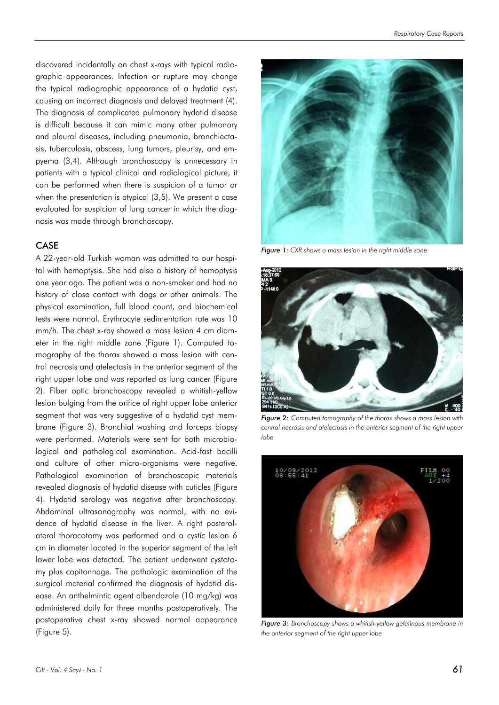discovered incidentally on chest x-rays with typical radiographic appearances. Infection or rupture may change the typical radiographic appearance of a hydatid cyst, causing an incorrect diagnosis and delayed treatment (4). The diagnosis of complicated pulmonary hydatid disease is difficult because it can mimic many other pulmonary and pleural diseases, including pneumonia, bronchiectasis, tuberculosis, abscess, lung tumors, pleurisy, and empyema (3,4). Although bronchoscopy is unnecessary in patients with a typical clinical and radiological picture, it can be performed when there is suspicion of a tumor or when the presentation is atypical (3,5). We present a case evaluated for suspicion of lung cancer in which the diagnosis was made through bronchoscopy.

## **CASE**

A 22-year-old Turkish woman was admitted to our hospital with hemoptysis. She had also a history of hemoptysis one year ago. The patient was a non-smoker and had no history of close contact with dogs or other animals. The physical examination, full blood count, and biochemical tests were normal. Erythrocyte sedimentation rate was 10 mm/h. The chest x-ray showed a mass lesion 4 cm diameter in the right middle zone (Figure 1). Computed tomography of the thorax showed a mass lesion with central necrosis and atelectasis in the anterior segment of the right upper lobe and was reported as lung cancer (Figure 2). Fiber optic bronchoscopy revealed a whitish-yellow lesion bulging from the orifice of right upper lobe anterior segment that was very suggestive of a hydatid cyst membrane (Figure 3). Bronchial washing and forceps biopsy were performed. Materials were sent for both microbiological and pathological examination. Acid-fast bacilli and culture of other micro-organisms were negative. Pathological examination of bronchoscopic materials revealed diagnosis of hydatid disease with cuticles (Figure 4). Hydatid serology was negative after bronchoscopy. Abdominal ultrasonography was normal, with no evidence of hydatid disease in the liver. A right posterolateral thoracotomy was performed and a cystic lesion 6 cm in diameter located in the superior segment of the left lower lobe was detected. The patient underwent cystotomy plus capitonnage. The pathologic examination of the surgical material confirmed the diagnosis of hydatid disease. An anthelmintic agent albendazole (10 mg/kg) was administered daily for three months postoperatively. The postoperative chest x-ray showed normal appearance (Figure 5).



*Figure 1: CXR shows a mass lesion in the right middle zone*



*Figure 2: Computed tomography of the thorax shows a mass lesion with central necrosis and atelectasis in the anterior segment of the right upper lobe*



*Figure 3: Bronchoscopy shows a whitish-yellow gelatinous membrane in the anterior segment of the right upper lobe*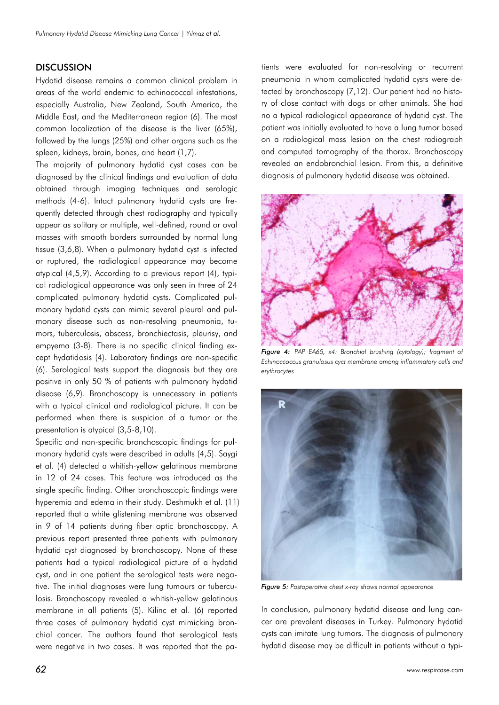## **DISCUSSION**

Hydatid disease remains a common clinical problem in areas of the world endemic to echinococcal infestations, especially Australia, New Zealand, South America, the Middle East, and the Mediterranean region (6). The most common localization of the disease is the liver (65%), followed by the lungs (25%) and other organs such as the spleen, kidneys, brain, bones, and heart (1,7).

The majority of pulmonary hydatid cyst cases can be diagnosed by the clinical findings and evaluation of data obtained through imaging techniques and serologic methods (4-6). Intact pulmonary hydatid cysts are frequently detected through chest radiography and typically appear as solitary or multiple, well-defined, round or oval masses with smooth borders surrounded by normal lung tissue (3,6,8). When a pulmonary hydatid cyst is infected or ruptured, the radiological appearance may become atypical (4,5,9). According to a previous report (4), typical radiological appearance was only seen in three of 24 complicated pulmonary hydatid cysts. Complicated pulmonary hydatid cysts can mimic several pleural and pulmonary disease such as non-resolving pneumonia, tumors, tuberculosis, abscess, bronchiectasis, pleurisy, and empyema (3-8). There is no specific clinical finding except hydatidosis (4). Laboratory findings are non-specific (6). Serological tests support the diagnosis but they are positive in only 50 % of patients with pulmonary hydatid disease (6,9). Bronchoscopy is unnecessary in patients with a typical clinical and radiological picture. It can be performed when there is suspicion of a tumor or the presentation is atypical (3,5-8,10).

Specific and non-specific bronchoscopic findings for pulmonary hydatid cysts were described in adults (4,5). Saygi et al. (4) detected a whitish-yellow gelatinous membrane in 12 of 24 cases. This feature was introduced as the single specific finding. Other bronchoscopic findings were hyperemia and edema in their study. Deshmukh et al. (11) reported that a white glistening membrane was observed in 9 of 14 patients during fiber optic bronchoscopy. A previous report presented three patients with pulmonary hydatid cyst diagnosed by bronchoscopy. None of these patients had a typical radiological picture of a hydatid cyst, and in one patient the serological tests were negative. The initial diagnoses were lung tumours or tuberculosis. Bronchoscopy revealed a whitish-yellow gelatinous membrane in all patients (5). Kilinc et al. (6) reported three cases of pulmonary hydatid cyst mimicking bronchial cancer. The authors found that serological tests were negative in two cases. It was reported that the patients were evaluated for non-resolving or recurrent pneumonia in whom complicated hydatid cysts were detected by bronchoscopy (7,12). Our patient had no history of close contact with dogs or other animals. She had no a typical radiological appearance of hydatid cyst. The patient was initially evaluated to have a lung tumor based on a radiological mass lesion on the chest radiograph and computed tomography of the thorax. Bronchoscopy revealed an endobronchial lesion. From this, a definitive diagnosis of pulmonary hydatid disease was obtained.



*Figure 4: PAP EA65, x4: Bronchial brushing (cytology); fragment of Echinoccoccus granulosus cyct membrane among inflammatory cells and erythrocytes*



*Figure 5: Postoperative chest x-ray shows normal appearance*

In conclusion, pulmonary hydatid disease and lung cancer are prevalent diseases in Turkey. Pulmonary hydatid cysts can imitate lung tumors. The diagnosis of pulmonary hydatid disease may be difficult in patients without a typi